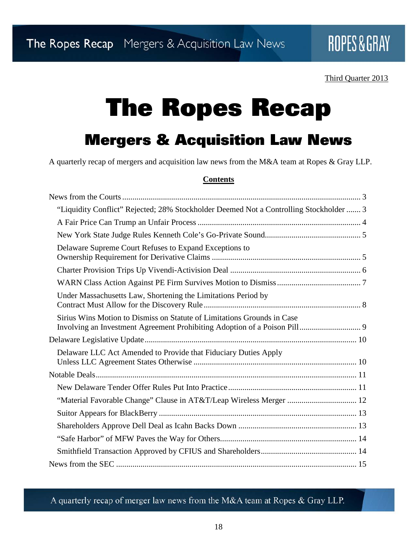#### Third Quarter 2013

# The Ropes Recap

### Mergers & Acquisition Law News

A quarterly recap of mergers and acquisition law news from the M&A team at Ropes & Gray LLP.

#### **Contents**

| "Liquidity Conflict" Rejected; 28% Stockholder Deemed Not a Controlling Stockholder  3 |
|----------------------------------------------------------------------------------------|
|                                                                                        |
|                                                                                        |
| Delaware Supreme Court Refuses to Expand Exceptions to                                 |
|                                                                                        |
|                                                                                        |
| Under Massachusetts Law, Shortening the Limitations Period by                          |
| Sirius Wins Motion to Dismiss on Statute of Limitations Grounds in Case                |
|                                                                                        |
| Delaware LLC Act Amended to Provide that Fiduciary Duties Apply                        |
|                                                                                        |
|                                                                                        |
|                                                                                        |
|                                                                                        |
|                                                                                        |
|                                                                                        |
|                                                                                        |
|                                                                                        |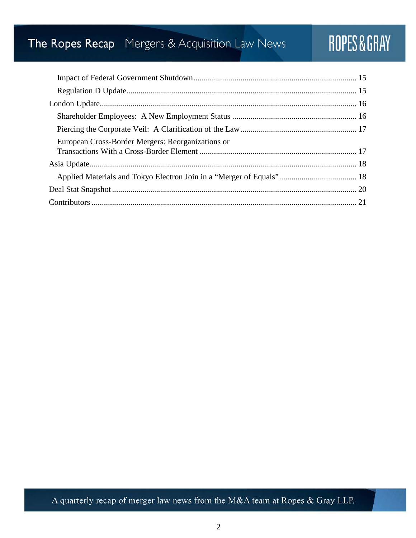## The Ropes Recap Mergers & Acquisition Law News

## ROPES&GRAY

| European Cross-Border Mergers: Reorganizations or |  |
|---------------------------------------------------|--|
|                                                   |  |
|                                                   |  |
|                                                   |  |
|                                                   |  |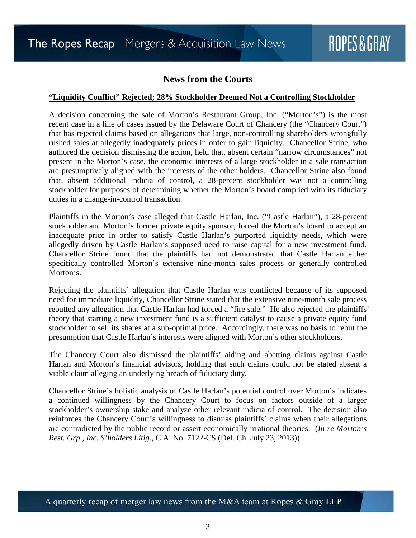#### **News from the Courts**

#### <span id="page-2-1"></span><span id="page-2-0"></span>**"Liquidity Conflict" Rejected; 28% Stockholder Deemed Not a Controlling Stockholder**

A decision concerning the sale of Morton's Restaurant Group, Inc. ("Morton's") is the most recent case in a line of cases issued by the Delaware Court of Chancery (the "Chancery Court") that has rejected claims based on allegations that large, non-controlling shareholders wrongfully rushed sales at allegedly inadequately prices in order to gain liquidity. Chancellor Strine, who authored the decision dismissing the action, held that, absent certain "narrow circumstances" not present in the Morton's case, the economic interests of a large stockholder in a sale transaction are presumptively aligned with the interests of the other holders. Chancellor Strine also found that, absent additional indicia of control, a 28-percent stockholder was not a controlling stockholder for purposes of determining whether the Morton's board complied with its fiduciary duties in a change-in-control transaction.

Plaintiffs in the Morton's case alleged that Castle Harlan, Inc. ("Castle Harlan"), a 28-percent stockholder and Morton's former private equity sponsor, forced the Morton's board to accept an inadequate price in order to satisfy Castle Harlan's purported liquidity needs, which were allegedly driven by Castle Harlan's supposed need to raise capital for a new investment fund. Chancellor Strine found that the plaintiffs had not demonstrated that Castle Harlan either specifically controlled Morton's extensive nine-month sales process or generally controlled Morton's.

Rejecting the plaintiffs' allegation that Castle Harlan was conflicted because of its supposed need for immediate liquidity, Chancellor Strine stated that the extensive nine-month sale process rebutted any allegation that Castle Harlan had forced a "fire sale." He also rejected the plaintiffs' theory that starting a new investment fund is a sufficient catalyst to cause a private equity fund stockholder to sell its shares at a sub-optimal price. Accordingly, there was no basis to rebut the presumption that Castle Harlan's interests were aligned with Morton's other stockholders.

The Chancery Court also dismissed the plaintiffs' aiding and abetting claims against Castle Harlan and Morton's financial advisors, holding that such claims could not be stated absent a viable claim alleging an underlying breach of fiduciary duty.

Chancellor Strine's holistic analysis of Castle Harlan's potential control over Morton's indicates a continued willingness by the Chancery Court to focus on factors outside of a larger stockholder's ownership stake and analyze other relevant indicia of control. The decision also reinforces the Chancery Court's willingness to dismiss plaintiffs' claims when their allegations are contradicted by the public record or assert economically irrational theories. (*In re Morton's Rest. Grp., Inc. S'holders Litig.*, C.A. No. 7122-CS (Del. Ch. July 23, 2013))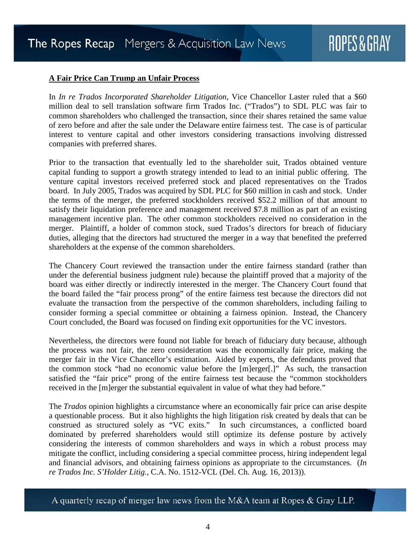#### <span id="page-3-0"></span>**A Fair Price Can Trump an Unfair Process**

In *In re Trados Incorporated Shareholder Litigation*, Vice Chancellor Laster ruled that a \$60 million deal to sell translation software firm Trados Inc. ("Trados") to SDL PLC was fair to common shareholders who challenged the transaction, since their shares retained the same value of zero before and after the sale under the Delaware entire fairness test. The case is of particular interest to venture capital and other investors considering transactions involving distressed companies with preferred shares.

Prior to the transaction that eventually led to the shareholder suit, Trados obtained venture capital funding to support a growth strategy intended to lead to an initial public offering. The venture capital investors received preferred stock and placed representatives on the Trados board. In July 2005, Trados was acquired by SDL PLC for \$60 million in cash and stock. Under the terms of the merger, the preferred stockholders received \$52.2 million of that amount to satisfy their liquidation preference and management received \$7.8 million as part of an existing management incentive plan. The other common stockholders received no consideration in the merger. Plaintiff, a holder of common stock, sued Trados's directors for breach of fiduciary duties, alleging that the directors had structured the merger in a way that benefited the preferred shareholders at the expense of the common shareholders.

The Chancery Court reviewed the transaction under the entire fairness standard (rather than under the deferential business judgment rule) because the plaintiff proved that a majority of the board was either directly or indirectly interested in the merger. The Chancery Court found that the board failed the "fair process prong" of the entire fairness test because the directors did not evaluate the transaction from the perspective of the common shareholders, including failing to consider forming a special committee or obtaining a fairness opinion. Instead, the Chancery Court concluded, the Board was focused on finding exit opportunities for the VC investors.

Nevertheless, the directors were found not liable for breach of fiduciary duty because, although the process was not fair, the zero consideration was the economically fair price, making the merger fair in the Vice Chancellor's estimation. Aided by experts, the defendants proved that the common stock "had no economic value before the [m]erger[.]" As such, the transaction satisfied the "fair price" prong of the entire fairness test because the "common stockholders received in the [m]erger the substantial equivalent in value of what they had before."

The *Trados* opinion highlights a circumstance where an economically fair price can arise despite a questionable process. But it also highlights the high litigation risk created by deals that can be construed as structured solely as "VC exits." In such circumstances, a conflicted board dominated by preferred shareholders would still optimize its defense posture by actively considering the interests of common shareholders and ways in which a robust process may mitigate the conflict, including considering a special committee process, hiring independent legal and financial advisors, and obtaining fairness opinions as appropriate to the circumstances. (*In re Trados Inc. S'Holder Litig.*, C.A. No. 1512-VCL (Del. Ch. Aug. 16, 2013)).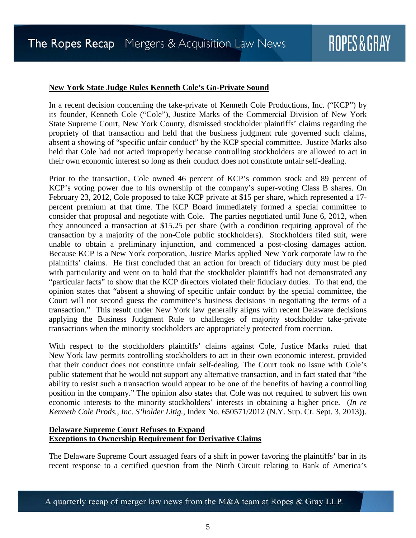#### <span id="page-4-0"></span>**New York State Judge Rules Kenneth Cole's Go-Private Sound**

In a recent decision concerning the take-private of Kenneth Cole Productions, Inc. ("KCP") by its founder, Kenneth Cole ("Cole"), Justice Marks of the Commercial Division of New York State Supreme Court, New York County, dismissed stockholder plaintiffs' claims regarding the propriety of that transaction and held that the business judgment rule governed such claims, absent a showing of "specific unfair conduct" by the KCP special committee. Justice Marks also held that Cole had not acted improperly because controlling stockholders are allowed to act in their own economic interest so long as their conduct does not constitute unfair self-dealing.

Prior to the transaction, Cole owned 46 percent of KCP's common stock and 89 percent of KCP's voting power due to his ownership of the company's super-voting Class B shares. On February 23, 2012, Cole proposed to take KCP private at \$15 per share, which represented a 17 percent premium at that time. The KCP Board immediately formed a special committee to consider that proposal and negotiate with Cole. The parties negotiated until June 6, 2012, when they announced a transaction at \$15.25 per share (with a condition requiring approval of the transaction by a majority of the non-Cole public stockholders). Stockholders filed suit, were unable to obtain a preliminary injunction, and commenced a post-closing damages action. Because KCP is a New York corporation, Justice Marks applied New York corporate law to the plaintiffs' claims. He first concluded that an action for breach of fiduciary duty must be pled with particularity and went on to hold that the stockholder plaintiffs had not demonstrated any "particular facts" to show that the KCP directors violated their fiduciary duties. To that end, the opinion states that "absent a showing of specific unfair conduct by the special committee, the Court will not second guess the committee's business decisions in negotiating the terms of a transaction." This result under New York law generally aligns with recent Delaware decisions applying the Business Judgment Rule to challenges of majority stockholder take-private transactions when the minority stockholders are appropriately protected from coercion.

With respect to the stockholders plaintiffs' claims against Cole, Justice Marks ruled that New York law permits controlling stockholders to act in their own economic interest, provided that their conduct does not constitute unfair self-dealing. The Court took no issue with Cole's public statement that he would not support any alternative transaction, and in fact stated that "the ability to resist such a transaction would appear to be one of the benefits of having a controlling position in the company." The opinion also states that Cole was not required to subvert his own economic interests to the minority stockholders' interests in obtaining a higher price. (*In re Kenneth Cole Prods., Inc. S'holder Litig.*, Index No. 650571/2012 (N.Y. Sup. Ct. Sept. 3, 2013)).

#### <span id="page-4-1"></span>**Delaware Supreme Court Refuses to Expand Exceptions to Ownership Requirement for Derivative Claims**

The Delaware Supreme Court assuaged fears of a shift in power favoring the plaintiffs' bar in its recent response to a certified question from the Ninth Circuit relating to Bank of America's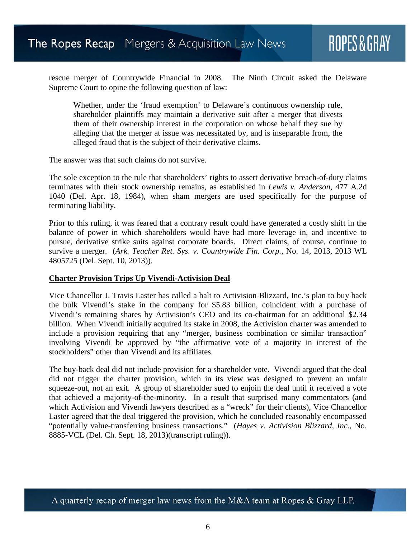rescue merger of Countrywide Financial in 2008. The Ninth Circuit asked the Delaware Supreme Court to opine the following question of law:

Whether, under the 'fraud exemption' to Delaware's continuous ownership rule, shareholder plaintiffs may maintain a derivative suit after a merger that divests them of their ownership interest in the corporation on whose behalf they sue by alleging that the merger at issue was necessitated by, and is inseparable from, the alleged fraud that is the subject of their derivative claims.

The answer was that such claims do not survive.

The sole exception to the rule that shareholders' rights to assert derivative breach-of-duty claims terminates with their stock ownership remains, as established in *Lewis v. Anderson*, 477 A.2d 1040 (Del. Apr. 18, 1984), when sham mergers are used specifically for the purpose of terminating liability.

Prior to this ruling, it was feared that a contrary result could have generated a costly shift in the balance of power in which shareholders would have had more leverage in, and incentive to pursue, derivative strike suits against corporate boards. Direct claims, of course, continue to survive a merger. (*Ark. Teacher Ret. Sys. v. Countrywide Fin. Corp.*, No. 14, 2013, 2013 WL 4805725 (Del. Sept. 10, 2013)).

#### <span id="page-5-0"></span>**Charter Provision Trips Up Vivendi-Activision Deal**

Vice Chancellor J. Travis Laster has called a halt to Activision Blizzard, Inc.'s plan to buy back the bulk Vivendi's stake in the company for \$5.83 billion, coincident with a purchase of Vivendi's remaining shares by Activision's CEO and its co-chairman for an additional \$2.34 billion. When Vivendi initially acquired its stake in 2008, the Activision charter was amended to include a provision requiring that any "merger, business combination or similar transaction" involving Vivendi be approved by "the affirmative vote of a majority in interest of the stockholders" other than Vivendi and its affiliates.

The buy-back deal did not include provision for a shareholder vote. Vivendi argued that the deal did not trigger the charter provision, which in its view was designed to prevent an unfair squeeze-out, not an exit. A group of shareholder sued to enjoin the deal until it received a vote that achieved a majority-of-the-minority. In a result that surprised many commentators (and which Activision and Vivendi lawyers described as a "wreck" for their clients), Vice Chancellor Laster agreed that the deal triggered the provision, which he concluded reasonably encompassed "potentially value-transferring business transactions." (*Hayes v. Activision Blizzard, Inc.*, No. 8885-VCL (Del. Ch. Sept. 18, 2013)(transcript ruling)).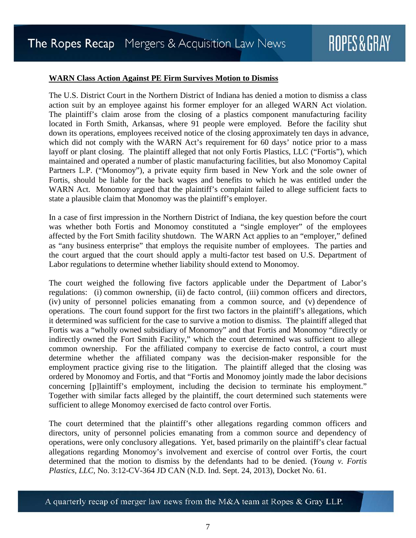#### <span id="page-6-0"></span>**WARN Class Action Against PE Firm Survives Motion to Dismiss**

The U.S. District Court in the Northern District of Indiana has denied a motion to dismiss a class action suit by an employee against his former employer for an alleged WARN Act violation. The plaintiff's claim arose from the closing of a plastics component manufacturing facility located in Forth Smith, Arkansas, where 91 people were employed. Before the facility shut down its operations, employees received notice of the closing approximately ten days in advance, which did not comply with the WARN Act's requirement for 60 days' notice prior to a mass layoff or plant closing. The plaintiff alleged that not only Fortis Plastics, LLC ("Fortis"), which maintained and operated a number of plastic manufacturing facilities, but also Monomoy Capital Partners L.P. ("Monomoy"), a private equity firm based in New York and the sole owner of Fortis, should be liable for the back wages and benefits to which he was entitled under the WARN Act. Monomoy argued that the plaintiff's complaint failed to allege sufficient facts to state a plausible claim that Monomoy was the plaintiff's employer.

In a case of first impression in the Northern District of Indiana, the key question before the court was whether both Fortis and Monomoy constituted a "single employer" of the employees affected by the Fort Smith facility shutdown. The WARN Act applies to an "employer," defined as "any business enterprise" that employs the requisite number of employees. The parties and the court argued that the court should apply a multi-factor test based on U.S. Department of Labor regulations to determine whether liability should extend to Monomoy.

The court weighed the following five factors applicable under the Department of Labor's regulations: (i) common ownership, (ii) de facto control, (iii) common officers and directors, (iv) unity of personnel policies emanating from a common source, and (v) dependence of operations. The court found support for the first two factors in the plaintiff's allegations, which it determined was sufficient for the case to survive a motion to dismiss. The plaintiff alleged that Fortis was a "wholly owned subsidiary of Monomoy" and that Fortis and Monomoy "directly or indirectly owned the Fort Smith Facility," which the court determined was sufficient to allege common ownership. For the affiliated company to exercise de facto control, a court must determine whether the affiliated company was the decision-maker responsible for the employment practice giving rise to the litigation. The plaintiff alleged that the closing was ordered by Monomoy and Fortis, and that "Fortis and Monomoy jointly made the labor decisions concerning [p]laintiff's employment, including the decision to terminate his employment." Together with similar facts alleged by the plaintiff, the court determined such statements were sufficient to allege Monomoy exercised de facto control over Fortis.

The court determined that the plaintiff's other allegations regarding common officers and directors, unity of personnel policies emanating from a common source and dependency of operations, were only conclusory allegations. Yet, based primarily on the plaintiff's clear factual allegations regarding Monomoy's involvement and exercise of control over Fortis, the court determined that the motion to dismiss by the defendants had to be denied. (*Young v. Fortis Plastics, LLC*, No. 3:12-CV-364 JD CAN (N.D. Ind. Sept. 24, 2013), Docket No. 61.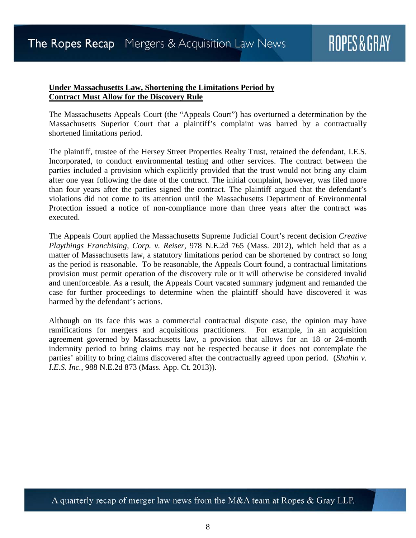#### <span id="page-7-0"></span>**Under Massachusetts Law, Shortening the Limitations Period by Contract Must Allow for the Discovery Rule**

The Massachusetts Appeals Court (the "Appeals Court") has overturned a determination by the Massachusetts Superior Court that a plaintiff's complaint was barred by a contractually shortened limitations period.

The plaintiff, trustee of the Hersey Street Properties Realty Trust, retained the defendant, I.E.S. Incorporated, to conduct environmental testing and other services. The contract between the parties included a provision which explicitly provided that the trust would not bring any claim after one year following the date of the contract. The initial complaint, however, was filed more than four years after the parties signed the contract. The plaintiff argued that the defendant's violations did not come to its attention until the Massachusetts Department of Environmental Protection issued a notice of non-compliance more than three years after the contract was executed.

The Appeals Court applied the Massachusetts Supreme Judicial Court's recent decision *Creative Playthings Franchising, Corp. v. Reiser*, 978 N.E.2d 765 (Mass. 2012), which held that as a matter of Massachusetts law, a statutory limitations period can be shortened by contract so long as the period is reasonable. To be reasonable, the Appeals Court found, a contractual limitations provision must permit operation of the discovery rule or it will otherwise be considered invalid and unenforceable. As a result, the Appeals Court vacated summary judgment and remanded the case for further proceedings to determine when the plaintiff should have discovered it was harmed by the defendant's actions.

Although on its face this was a commercial contractual dispute case, the opinion may have ramifications for mergers and acquisitions practitioners. For example, in an acquisition agreement governed by Massachusetts law, a provision that allows for an 18 or 24-month indemnity period to bring claims may not be respected because it does not contemplate the parties' ability to bring claims discovered after the contractually agreed upon period. (*Shahin v. I.E.S. Inc.*, 988 N.E.2d 873 (Mass. App. Ct. 2013)).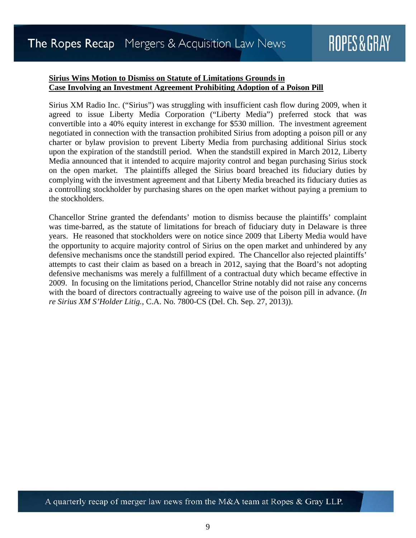#### <span id="page-8-0"></span>**Sirius Wins Motion to Dismiss on Statute of Limitations Grounds in Case Involving an Investment Agreement Prohibiting Adoption of a Poison Pill**

Sirius XM Radio Inc. ("Sirius") was struggling with insufficient cash flow during 2009, when it agreed to issue Liberty Media Corporation ("Liberty Media") preferred stock that was convertible into a 40% equity interest in exchange for \$530 million. The investment agreement negotiated in connection with the transaction prohibited Sirius from adopting a poison pill or any charter or bylaw provision to prevent Liberty Media from purchasing additional Sirius stock upon the expiration of the standstill period. When the standstill expired in March 2012, Liberty Media announced that it intended to acquire majority control and began purchasing Sirius stock on the open market. The plaintiffs alleged the Sirius board breached its fiduciary duties by complying with the investment agreement and that Liberty Media breached its fiduciary duties as a controlling stockholder by purchasing shares on the open market without paying a premium to the stockholders.

Chancellor Strine granted the defendants' motion to dismiss because the plaintiffs' complaint was time-barred, as the statute of limitations for breach of fiduciary duty in Delaware is three years. He reasoned that stockholders were on notice since 2009 that Liberty Media would have the opportunity to acquire majority control of Sirius on the open market and unhindered by any defensive mechanisms once the standstill period expired. The Chancellor also rejected plaintiffs' attempts to cast their claim as based on a breach in 2012, saying that the Board's not adopting defensive mechanisms was merely a fulfillment of a contractual duty which became effective in 2009. In focusing on the limitations period, Chancellor Strine notably did not raise any concerns with the board of directors contractually agreeing to waive use of the poison pill in advance. (*In re Sirius XM S'Holder Litig.*, C.A. No. 7800-CS (Del. Ch. Sep. 27, 2013)).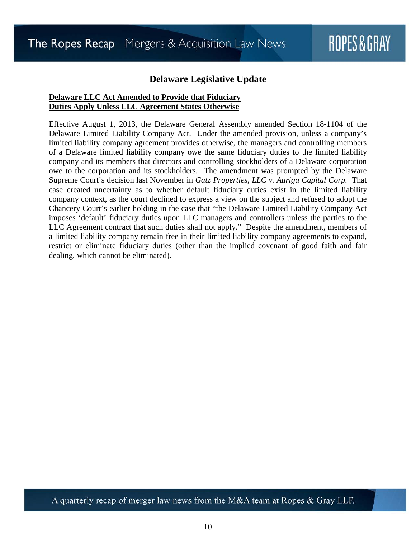#### **Delaware Legislative Update**

#### <span id="page-9-1"></span><span id="page-9-0"></span>**Delaware LLC Act Amended to Provide that Fiduciary Duties Apply Unless LLC Agreement States Otherwise**

Effective August 1, 2013, the Delaware General Assembly amended Section 18-1104 of the Delaware Limited Liability Company Act. Under the amended provision, unless a company's limited liability company agreement provides otherwise, the managers and controlling members of a Delaware limited liability company owe the same fiduciary duties to the limited liability company and its members that directors and controlling stockholders of a Delaware corporation owe to the corporation and its stockholders. The amendment was prompted by the Delaware Supreme Court's decision last November in *Gatz Properties, LLC v. Auriga Capital Corp.* That case created uncertainty as to whether default fiduciary duties exist in the limited liability company context, as the court declined to express a view on the subject and refused to adopt the Chancery Court's earlier holding in the case that "the Delaware Limited Liability Company Act imposes 'default' fiduciary duties upon LLC managers and controllers unless the parties to the LLC Agreement contract that such duties shall not apply." Despite the amendment, members of a limited liability company remain free in their limited liability company agreements to expand, restrict or eliminate fiduciary duties (other than the implied covenant of good faith and fair dealing, which cannot be eliminated).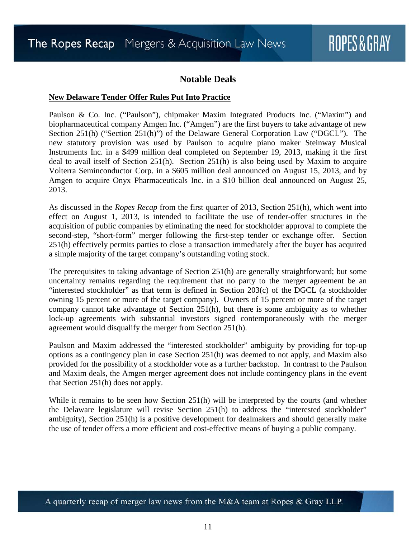#### **Notable Deals**

#### <span id="page-10-1"></span><span id="page-10-0"></span>**New Delaware Tender Offer Rules Put Into Practice**

Paulson & Co. Inc. ("Paulson"), chipmaker Maxim Integrated Products Inc. ("Maxim") and biopharmaceutical company Amgen Inc. ("Amgen") are the first buyers to take advantage of new Section 251(h) ("Section 251(h)") of the Delaware General Corporation Law ("DGCL"). The new statutory provision was used by Paulson to acquire piano maker Steinway Musical Instruments Inc. in a \$499 million deal completed on September 19, 2013, making it the first deal to avail itself of Section 251(h). Section 251(h) is also being used by Maxim to acquire Volterra Seminconductor Corp. in a \$605 million deal announced on August 15, 2013, and by Amgen to acquire Onyx Pharmaceuticals Inc. in a \$10 billion deal announced on August 25, 2013.

As discussed in the *Ropes Recap* from the first quarter of 2013, Section 251(h), which went into effect on August 1, 2013, is intended to facilitate the use of tender-offer structures in the acquisition of public companies by eliminating the need for stockholder approval to complete the second-step, "short-form" merger following the first-step tender or exchange offer. Section 251(h) effectively permits parties to close a transaction immediately after the buyer has acquired a simple majority of the target company's outstanding voting stock.

The prerequisites to taking advantage of Section 251(h) are generally straightforward; but some uncertainty remains regarding the requirement that no party to the merger agreement be an "interested stockholder" as that term is defined in Section 203(c) of the DGCL (a stockholder owning 15 percent or more of the target company). Owners of 15 percent or more of the target company cannot take advantage of Section 251(h), but there is some ambiguity as to whether lock-up agreements with substantial investors signed contemporaneously with the merger agreement would disqualify the merger from Section 251(h).

Paulson and Maxim addressed the "interested stockholder" ambiguity by providing for top-up options as a contingency plan in case Section 251(h) was deemed to not apply, and Maxim also provided for the possibility of a stockholder vote as a further backstop. In contrast to the Paulson and Maxim deals, the Amgen merger agreement does not include contingency plans in the event that Section 251(h) does not apply.

While it remains to be seen how Section 251(h) will be interpreted by the courts (and whether the Delaware legislature will revise Section 251(h) to address the "interested stockholder" ambiguity), Section 251(h) is a positive development for dealmakers and should generally make the use of tender offers a more efficient and cost-effective means of buying a public company.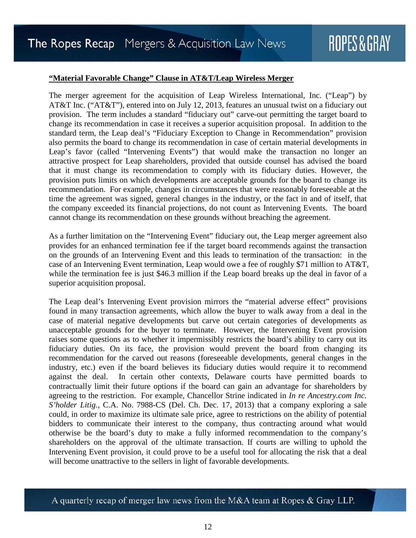#### <span id="page-11-0"></span>**"Material Favorable Change" Clause in AT&T/Leap Wireless Merger**

The merger agreement for the acquisition of Leap Wireless International, Inc. ("Leap") by AT&T Inc. ("AT&T"), entered into on July 12, 2013, features an unusual twist on a fiduciary out provision. The term includes a standard "fiduciary out" carve-out permitting the target board to change its recommendation in case it receives a superior acquisition proposal. In addition to the standard term, the Leap deal's "Fiduciary Exception to Change in Recommendation" provision also permits the board to change its recommendation in case of certain material developments in Leap's favor (called "Intervening Events") that would make the transaction no longer an attractive prospect for Leap shareholders, provided that outside counsel has advised the board that it must change its recommendation to comply with its fiduciary duties. However, the provision puts limits on which developments are acceptable grounds for the board to change its recommendation. For example, changes in circumstances that were reasonably foreseeable at the time the agreement was signed, general changes in the industry, or the fact in and of itself, that the company exceeded its financial projections, do not count as Intervening Events. The board cannot change its recommendation on these grounds without breaching the agreement.

As a further limitation on the "Intervening Event" fiduciary out, the Leap merger agreement also provides for an enhanced termination fee if the target board recommends against the transaction on the grounds of an Intervening Event and this leads to termination of the transaction: in the case of an Intervening Event termination, Leap would owe a fee of roughly \$71 million to AT&T, while the termination fee is just \$46.3 million if the Leap board breaks up the deal in favor of a superior acquisition proposal.

The Leap deal's Intervening Event provision mirrors the "material adverse effect" provisions found in many transaction agreements, which allow the buyer to walk away from a deal in the case of material negative developments but carve out certain categories of developments as unacceptable grounds for the buyer to terminate. However, the Intervening Event provision raises some questions as to whether it impermissibly restricts the board's ability to carry out its fiduciary duties. On its face, the provision would prevent the board from changing its recommendation for the carved out reasons (foreseeable developments, general changes in the industry, etc.) even if the board believes its fiduciary duties would require it to recommend against the deal. In certain other contexts, Delaware courts have permitted boards to contractually limit their future options if the board can gain an advantage for shareholders by agreeing to the restriction. For example, Chancellor Strine indicated in *In re Ancestry.com Inc. S'holder Litig.*, C.A. No. 7988-CS (Del. Ch. Dec. 17, 2013) that a company exploring a sale could, in order to maximize its ultimate sale price, agree to restrictions on the ability of potential bidders to communicate their interest to the company, thus contracting around what would otherwise be the board's duty to make a fully informed recommendation to the company's shareholders on the approval of the ultimate transaction. If courts are willing to uphold the Intervening Event provision, it could prove to be a useful tool for allocating the risk that a deal will become unattractive to the sellers in light of favorable developments.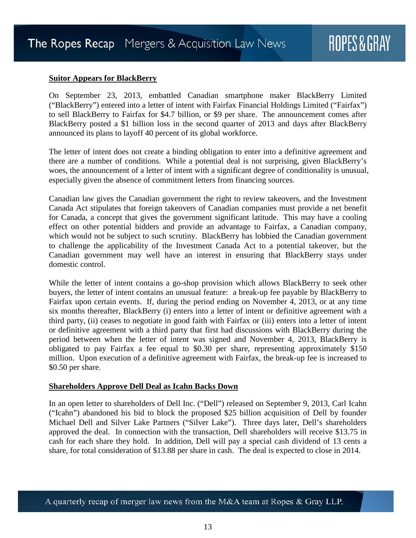#### <span id="page-12-0"></span>**Suitor Appears for BlackBerry**

On September 23, 2013, embattled Canadian smartphone maker BlackBerry Limited ("BlackBerry") entered into a letter of intent with Fairfax Financial Holdings Limited ("Fairfax") to sell BlackBerry to Fairfax for \$4.7 billion, or \$9 per share. The announcement comes after BlackBerry posted a \$1 billion loss in the second quarter of 2013 and days after BlackBerry announced its plans to layoff 40 percent of its global workforce.

The letter of intent does not create a binding obligation to enter into a definitive agreement and there are a number of conditions. While a potential deal is not surprising, given BlackBerry's woes, the announcement of a letter of intent with a significant degree of conditionality is unusual, especially given the absence of commitment letters from financing sources.

Canadian law gives the Canadian government the right to review takeovers, and the Investment Canada Act stipulates that foreign takeovers of Canadian companies must provide a net benefit for Canada, a concept that gives the government significant latitude. This may have a cooling effect on other potential bidders and provide an advantage to Fairfax, a Canadian company, which would not be subject to such scrutiny. BlackBerry has lobbied the Canadian government to challenge the applicability of the Investment Canada Act to a potential takeover, but the Canadian government may well have an interest in ensuring that BlackBerry stays under domestic control.

While the letter of intent contains a go-shop provision which allows BlackBerry to seek other buyers, the letter of intent contains an unusual feature: a break-up fee payable by BlackBerry to Fairfax upon certain events. If, during the period ending on November 4, 2013, or at any time six months thereafter, BlackBerry (i) enters into a letter of intent or definitive agreement with a third party, (ii) ceases to negotiate in good faith with Fairfax or (iii) enters into a letter of intent or definitive agreement with a third party that first had discussions with BlackBerry during the period between when the letter of intent was signed and November 4, 2013, BlackBerry is obligated to pay Fairfax a fee equal to \$0.30 per share, representing approximately \$150 million. Upon execution of a definitive agreement with Fairfax, the break-up fee is increased to \$0.50 per share.

#### <span id="page-12-1"></span>**Shareholders Approve Dell Deal as Icahn Backs Down**

In an open letter to shareholders of Dell Inc. ("Dell") released on September 9, 2013, Carl Icahn ("Icahn") abandoned his bid to block the proposed \$25 billion acquisition of Dell by founder Michael Dell and Silver Lake Partners ("Silver Lake"). Three days later, Dell's shareholders approved the deal. In connection with the transaction, Dell shareholders will receive \$13.75 in cash for each share they hold. In addition, Dell will pay a special cash dividend of 13 cents a share, for total consideration of \$13.88 per share in cash. The deal is expected to close in 2014.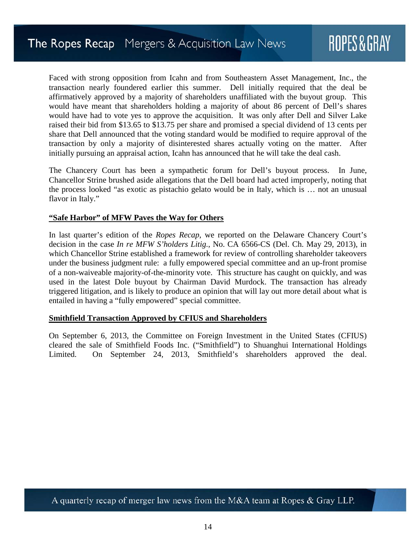Faced with strong opposition from Icahn and from Southeastern Asset Management, Inc., the transaction nearly foundered earlier this summer. Dell initially required that the deal be affirmatively approved by a majority of shareholders unaffiliated with the buyout group. This would have meant that shareholders holding a majority of about 86 percent of Dell's shares would have had to vote yes to approve the acquisition. It was only after Dell and Silver Lake raised their bid from \$13.65 to \$13.75 per share and promised a special dividend of 13 cents per share that Dell announced that the voting standard would be modified to require approval of the transaction by only a majority of disinterested shares actually voting on the matter. After initially pursuing an appraisal action, Icahn has announced that he will take the deal cash.

The Chancery Court has been a sympathetic forum for Dell's buyout process. In June, Chancellor Strine brushed aside allegations that the Dell board had acted improperly, noting that the process looked "as exotic as pistachio gelato would be in Italy, which is … not an unusual flavor in Italy."

#### <span id="page-13-0"></span>**"Safe Harbor" of MFW Paves the Way for Others**

In last quarter's edition of the *Ropes Recap*, we reported on the Delaware Chancery Court's decision in the case *In re MFW S'holders Litig.*, No. CA 6566-CS (Del. Ch. May 29, 2013), in which Chancellor Strine established a framework for review of controlling shareholder takeovers under the business judgment rule: a fully empowered special committee and an up-front promise of a non-waiveable majority-of-the-minority vote. This structure has caught on quickly, and was used in the latest Dole buyout by Chairman David Murdock. The transaction has already triggered litigation, and is likely to produce an opinion that will lay out more detail about what is entailed in having a "fully empowered" special committee.

#### <span id="page-13-1"></span>**Smithfield Transaction Approved by CFIUS and Shareholders**

On September 6, 2013, the Committee on Foreign Investment in the United States (CFIUS) cleared the sale of Smithfield Foods Inc. ("Smithfield") to Shuanghui International Holdings Limited. On September 24, 2013, Smithfield's shareholders approved the deal.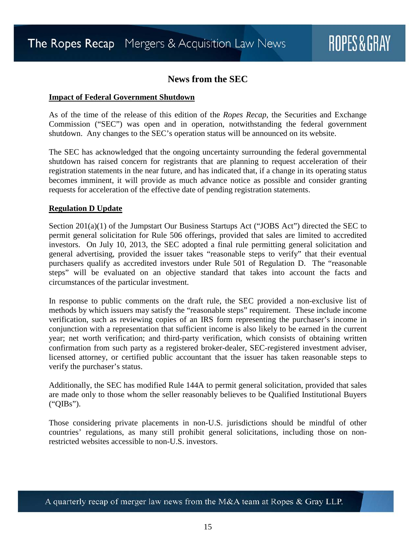#### **News from the SEC**

#### <span id="page-14-1"></span><span id="page-14-0"></span>**Impact of Federal Government Shutdown**

As of the time of the release of this edition of the *Ropes Recap*, the Securities and Exchange Commission ("SEC") was open and in operation, notwithstanding the federal government shutdown. Any changes to the SEC's operation status will be announced on its website.

The SEC has acknowledged that the ongoing uncertainty surrounding the federal governmental shutdown has raised concern for registrants that are planning to request acceleration of their registration statements in the near future, and has indicated that, if a change in its operating status becomes imminent, it will provide as much advance notice as possible and consider granting requests for acceleration of the effective date of pending registration statements.

#### <span id="page-14-2"></span>**Regulation D Update**

Section 201(a)(1) of the Jumpstart Our Business Startups Act ("JOBS Act") directed the SEC to permit general solicitation for Rule 506 offerings, provided that sales are limited to accredited investors. On July 10, 2013, the SEC adopted a final rule permitting general solicitation and general advertising, provided the issuer takes "reasonable steps to verify" that their eventual purchasers qualify as accredited investors under Rule 501 of Regulation D. The "reasonable steps" will be evaluated on an objective standard that takes into account the facts and circumstances of the particular investment.

In response to public comments on the draft rule, the SEC provided a non-exclusive list of methods by which issuers may satisfy the "reasonable steps" requirement. These include income verification, such as reviewing copies of an IRS form representing the purchaser's income in conjunction with a representation that sufficient income is also likely to be earned in the current year; net worth verification; and third-party verification, which consists of obtaining written confirmation from such party as a registered broker-dealer, SEC-registered investment adviser, licensed attorney, or certified public accountant that the issuer has taken reasonable steps to verify the purchaser's status.

Additionally, the SEC has modified Rule 144A to permit general solicitation, provided that sales are made only to those whom the seller reasonably believes to be Qualified Institutional Buyers ("QIBs").

Those considering private placements in non-U.S. jurisdictions should be mindful of other countries' regulations, as many still prohibit general solicitations, including those on nonrestricted websites accessible to non-U.S. investors.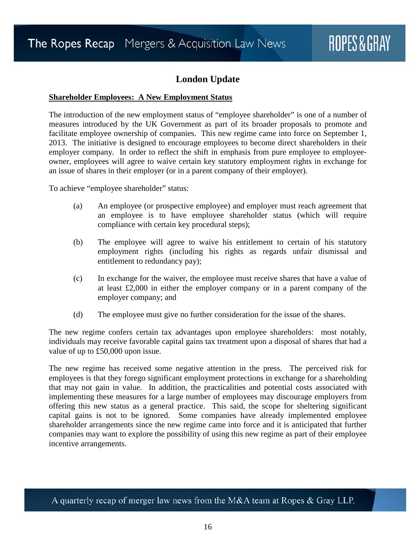#### **London Update**

#### <span id="page-15-1"></span><span id="page-15-0"></span>**Shareholder Employees: A New Employment Status**

The introduction of the new employment status of "employee shareholder" is one of a number of measures introduced by the UK Government as part of its broader proposals to promote and facilitate employee ownership of companies. This new regime came into force on September 1, 2013. The initiative is designed to encourage employees to become direct shareholders in their employer company. In order to reflect the shift in emphasis from pure employee to employeeowner, employees will agree to waive certain key statutory employment rights in exchange for an issue of shares in their employer (or in a parent company of their employer).

To achieve "employee shareholder" status:

- (a) An employee (or prospective employee) and employer must reach agreement that an employee is to have employee shareholder status (which will require compliance with certain key procedural steps);
- (b) The employee will agree to waive his entitlement to certain of his statutory employment rights (including his rights as regards unfair dismissal and entitlement to redundancy pay);
- (c) In exchange for the waiver, the employee must receive shares that have a value of at least £2,000 in either the employer company or in a parent company of the employer company; and
- (d) The employee must give no further consideration for the issue of the shares.

The new regime confers certain tax advantages upon employee shareholders: most notably, individuals may receive favorable capital gains tax treatment upon a disposal of shares that had a value of up to £50,000 upon issue.

The new regime has received some negative attention in the press. The perceived risk for employees is that they forego significant employment protections in exchange for a shareholding that may not gain in value. In addition, the practicalities and potential costs associated with implementing these measures for a large number of employees may discourage employers from offering this new status as a general practice. This said, the scope for sheltering significant capital gains is not to be ignored. Some companies have already implemented employee shareholder arrangements since the new regime came into force and it is anticipated that further companies may want to explore the possibility of using this new regime as part of their employee incentive arrangements.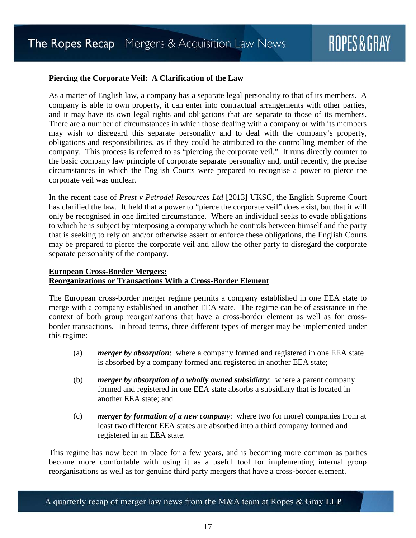#### <span id="page-16-0"></span>**Piercing the Corporate Veil: A Clarification of the Law**

As a matter of English law, a company has a separate legal personality to that of its members. A company is able to own property, it can enter into contractual arrangements with other parties, and it may have its own legal rights and obligations that are separate to those of its members. There are a number of circumstances in which those dealing with a company or with its members may wish to disregard this separate personality and to deal with the company's property, obligations and responsibilities, as if they could be attributed to the controlling member of the company. This process is referred to as "piercing the corporate veil." It runs directly counter to the basic company law principle of corporate separate personality and, until recently, the precise circumstances in which the English Courts were prepared to recognise a power to pierce the corporate veil was unclear.

In the recent case of *Prest v Petrodel Resources Ltd* [2013] UKSC, the English Supreme Court has clarified the law. It held that a power to "pierce the corporate veil" does exist, but that it will only be recognised in one limited circumstance. Where an individual seeks to evade obligations to which he is subject by interposing a company which he controls between himself and the party that is seeking to rely on and/or otherwise assert or enforce these obligations, the English Courts may be prepared to pierce the corporate veil and allow the other party to disregard the corporate separate personality of the company.

#### <span id="page-16-1"></span>**European Cross-Border Mergers: Reorganizations or Transactions With a Cross-Border Element**

The European cross-border merger regime permits a company established in one EEA state to merge with a company established in another EEA state. The regime can be of assistance in the context of both group reorganizations that have a cross-border element as well as for crossborder transactions. In broad terms, three different types of merger may be implemented under this regime:

- (a) *merger by absorption*: where a company formed and registered in one EEA state is absorbed by a company formed and registered in another EEA state;
- (b) *merger by absorption of a wholly owned subsidiary*: where a parent company formed and registered in one EEA state absorbs a subsidiary that is located in another EEA state; and
- (c) *merger by formation of a new company*: where two (or more) companies from at least two different EEA states are absorbed into a third company formed and registered in an EEA state.

This regime has now been in place for a few years, and is becoming more common as parties become more comfortable with using it as a useful tool for implementing internal group reorganisations as well as for genuine third party mergers that have a cross-border element.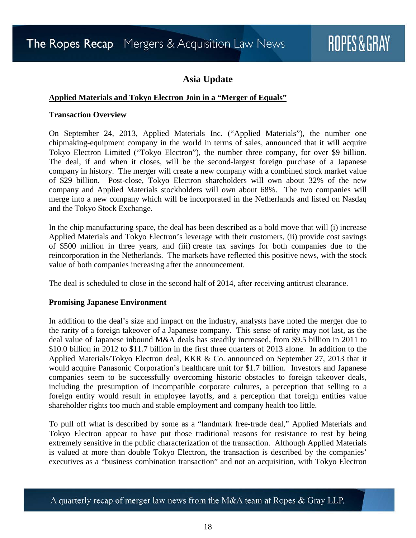#### **Asia Update**

#### <span id="page-17-1"></span><span id="page-17-0"></span>**Applied Materials and Tokyo Electron Join in a "Merger of Equals"**

#### **Transaction Overview**

On September 24, 2013, Applied Materials Inc. ("Applied Materials"), the number one chipmaking-equipment company in the world in terms of sales, announced that it will acquire Tokyo Electron Limited ("Tokyo Electron"), the number three company, for over \$9 billion. The deal, if and when it closes, will be the second-largest foreign purchase of a Japanese company in history. The merger will create a new company with a combined stock market value of \$29 billion. Post-close, Tokyo Electron shareholders will own about 32% of the new company and Applied Materials stockholders will own about 68%. The two companies will merge into a new company which will be incorporated in the Netherlands and listed on Nasdaq and the Tokyo Stock Exchange.

In the chip manufacturing space, the deal has been described as a bold move that will (i) increase Applied Materials and Tokyo Electron's leverage with their customers, (ii) provide cost savings of \$500 million in three years, and (iii) create tax savings for both companies due to the reincorporation in the Netherlands. The markets have reflected this positive news, with the stock value of both companies increasing after the announcement.

The deal is scheduled to close in the second half of 2014, after receiving antitrust clearance.

#### **Promising Japanese Environment**

In addition to the deal's size and impact on the industry, analysts have noted the merger due to the rarity of a foreign takeover of a Japanese company. This sense of rarity may not last, as the deal value of Japanese inbound M&A deals has steadily increased, from \$9.5 billion in 2011 to \$10.0 billion in 2012 to \$11.7 billion in the first three quarters of 2013 alone. In addition to the Applied Materials/Tokyo Electron deal, KKR & Co. announced on September 27, 2013 that it would acquire Panasonic Corporation's healthcare unit for \$1.7 billion. Investors and Japanese companies seem to be successfully overcoming historic obstacles to foreign takeover deals, including the presumption of incompatible corporate cultures, a perception that selling to a foreign entity would result in employee layoffs, and a perception that foreign entities value shareholder rights too much and stable employment and company health too little.

To pull off what is described by some as a "landmark free-trade deal," Applied Materials and Tokyo Electron appear to have put those traditional reasons for resistance to rest by being extremely sensitive in the public characterization of the transaction. Although Applied Materials is valued at more than double Tokyo Electron, the transaction is described by the companies' executives as a "business combination transaction" and not an acquisition, with Tokyo Electron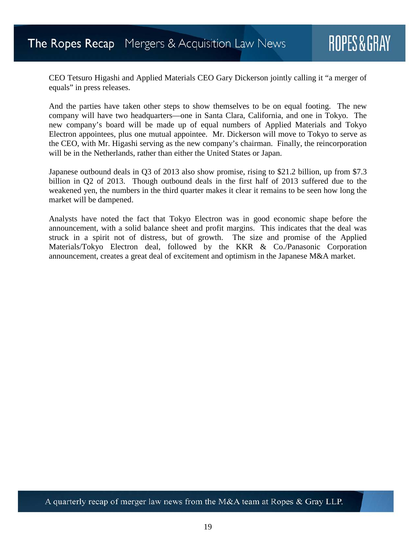CEO Tetsuro Higashi and Applied Materials CEO Gary Dickerson jointly calling it "a merger of equals" in press releases.

And the parties have taken other steps to show themselves to be on equal footing. The new company will have two headquarters—one in Santa Clara, California, and one in Tokyo. The new company's board will be made up of equal numbers of Applied Materials and Tokyo Electron appointees, plus one mutual appointee. Mr. Dickerson will move to Tokyo to serve as the CEO, with Mr. Higashi serving as the new company's chairman. Finally, the reincorporation will be in the Netherlands, rather than either the United States or Japan.

Japanese outbound deals in Q3 of 2013 also show promise, rising to \$21.2 billion, up from \$7.3 billion in Q2 of 2013. Though outbound deals in the first half of 2013 suffered due to the weakened yen, the numbers in the third quarter makes it clear it remains to be seen how long the market will be dampened.

Analysts have noted the fact that Tokyo Electron was in good economic shape before the announcement, with a solid balance sheet and profit margins. This indicates that the deal was struck in a spirit not of distress, but of growth. The size and promise of the Applied Materials/Tokyo Electron deal, followed by the KKR & Co./Panasonic Corporation announcement, creates a great deal of excitement and optimism in the Japanese M&A market.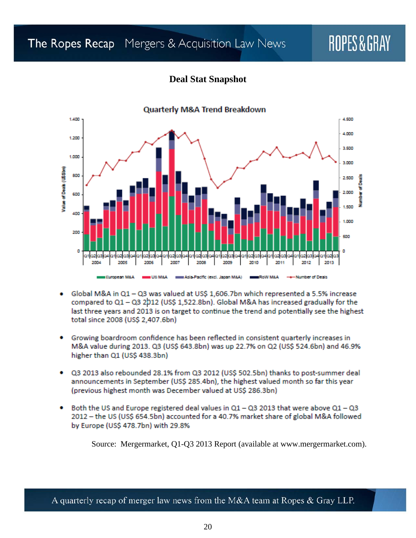### The Ropes Recap Mergers & Acquisition Law News

## ROPES&GRAY

#### **Deal Stat Snapshot**

<span id="page-19-0"></span>

#### Global M&A in Q1 - Q3 was valued at US\$ 1,606.7bn which represented a 5.5% increase compared to Q1 - Q3 2012 (US\$ 1,522.8bn). Global M&A has increased gradually for the last three years and 2013 is on target to continue the trend and potentially see the highest total since 2008 (US\$ 2,407.6bn)

- Growing boardroom confidence has been reflected in consistent quarterly increases in ٠ M&A value during 2013. Q3 (US\$ 643.8bn) was up 22.7% on Q2 (US\$ 524.6bn) and 46.9% higher than Q1 (US\$ 438.3bn)
- Q3 2013 also rebounded 28.1% from Q3 2012 (US\$ 502.5bn) thanks to post-summer deal announcements in September (US\$ 285.4bn), the highest valued month so far this year (previous highest month was December valued at US\$ 286.3bn)
- Both the US and Europe registered deal values in  $Q1 Q3$  2013 that were above  $Q1 Q3$ 2012 - the US (US\$ 654.5bn) accounted for a 40.7% market share of global M&A followed by Europe (US\$ 478.7bn) with 29.8%

Source: Mergermarket, Q1-Q3 2013 Report (available at www.mergermarket.com).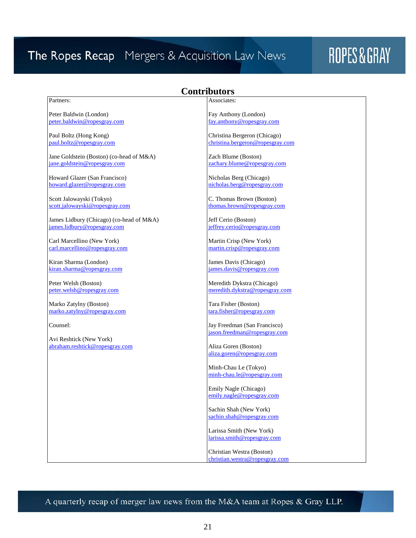### The Ropes Recap Mergers & Acquisition Law News

## ROPES&GRAY

#### **Contributors**

#### <span id="page-20-0"></span>Partners:

Peter Baldwin (London) [peter.baldwin@ropesgray.com](mailto:peter.baldwin@ropesgray.com)

Paul Boltz (Hong Kong) [paul.boltz@ropesgray.com](mailto:paul.boltz@ropesgray.com)

Jane Goldstein (Boston) (co-head of M&A) [jane.goldstein@ropesgray.com](mailto:jane.goldstein@ropesgray.com)

Howard Glazer (San Francisco) [howard.glazer@ropesgray.com](mailto:howard.glazer@ropesgray.com)

Scott Jalowayski (Tokyo) [scott.jalowayski@ropesgray.com](mailto:scott.jalowayski@ropesgray.com)

James Lidbury (Chicago) (co-head of M&A) [james.lidbury@ropesgray.com](mailto:james.lidbury@ropesgray.com)

Carl Marcellino (New York) car[l.marcellino@](mailto:carl.marcellino@ropesgray.com)ropesgray.com

Kiran Sharma (London) [kiran.sharma@ropesgray.com](mailto:kiran.sharma@ropesgray.com)

Peter Welsh (Boston) [peter.welsh@ropesgray.com](mailto:peter.welsh@ropesgray.com)

Marko Zatylny (Boston) marko[.zatylny@](mailto:mark.zatylny@ropesgray.com)ropesgray.com

Counsel:

Avi Reshtick (New York) [abraham.reshtick@ropesgray.com](mailto:abraham.reshtick@ropesgray.com) Associates:

Fay Anthony (London) [fay.anthony@ropesgray.com](mailto:fay.anthony@ropesgray.com)

Christina Bergeron (Chicago) [christina.bergeron@ropesgray.com](mailto:christina.bergeron@ropesgray.com)

Zach Blume (Boston) [zachary.blume@ropesgray.com](mailto:zachary.blume@ropesgray.com)

Nicholas Berg (Chicago) [nicholas.berg@ropesgray.com](mailto:nicholas.berg@ropesgray.com)

C. Thomas Brown (Boston) [thomas.brown@ropesgray.com](mailto:thomas.brown@ropesgray.com)

Jeff Cerio (Boston) [jeffrey.cerio@ropesgray.com](mailto:jeffrey.cerio@ropesgray.com)

Martin Crisp (New York) [martin.crisp@ropesgray.com](mailto:martin.crisp@ropesgray.com)

James Davis (Chicago) [james.davis@ropesgray.com](mailto:james.davis@ropesgray.com)

Meredith Dykstra (Chicago) [meredith.dykstra@ropesgray.com](mailto:meredith.dykstra@ropesgray.com)

Tara Fisher (Boston) [tara.fisher@ropesgray.com](mailto:tara.fisher@ropesgray.com)

Jay Freedman (San Francisco) [jason.freedman@ropesgray.com](mailto:jason.freedman@ropesgray.com)

Aliza Goren (Boston) [aliza.goren@ropesgray.com](mailto:aliza.goren@ropesgray.com)

Minh-Chau Le (Tokyo) [minh-chau.le@ropesgray.com](mailto:minh-chau.le@ropesgray.com)

Emily Nagle (Chicago) [emily.nagle@ropesgray.com](mailto:emily.nagle@ropesgray.com)

Sachin Shah (New York) [sachin.shah@ropesgray.com](mailto:sachin.shah@ropesgray.com)

Larissa Smith (New York) [larissa.smith@ropesgray.com](mailto:larissa.smith@ropesgray.com)

Christian Westra (Boston) [christian.westra@ropesgray.com](mailto:christian.westra@ropesgray.com)